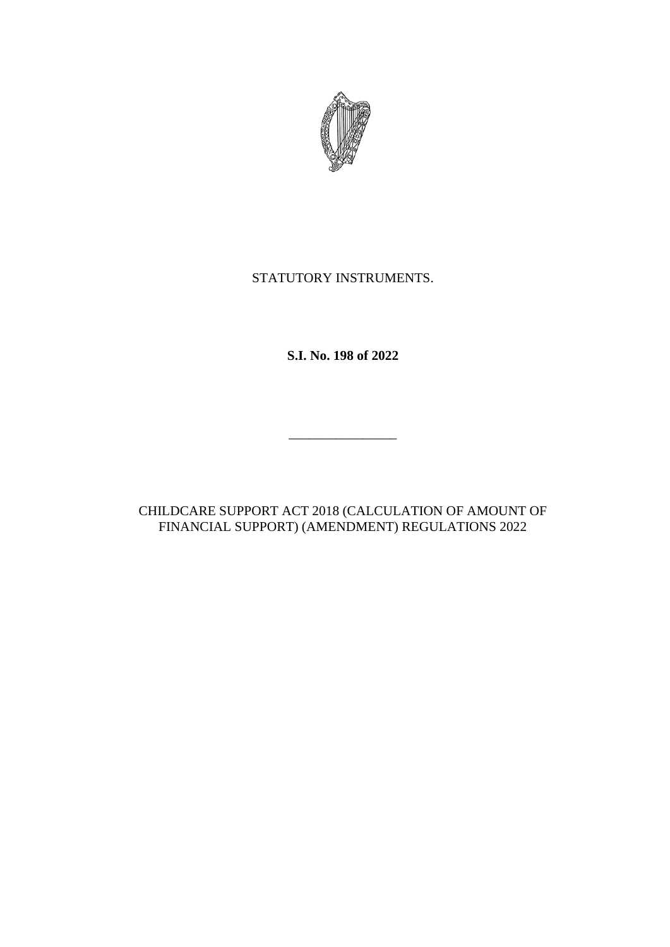

# STATUTORY INSTRUMENTS.

**S.I. No. 198 of 2022**

CHILDCARE SUPPORT ACT 2018 (CALCULATION OF AMOUNT OF FINANCIAL SUPPORT) (AMENDMENT) REGULATIONS 2022

\_\_\_\_\_\_\_\_\_\_\_\_\_\_\_\_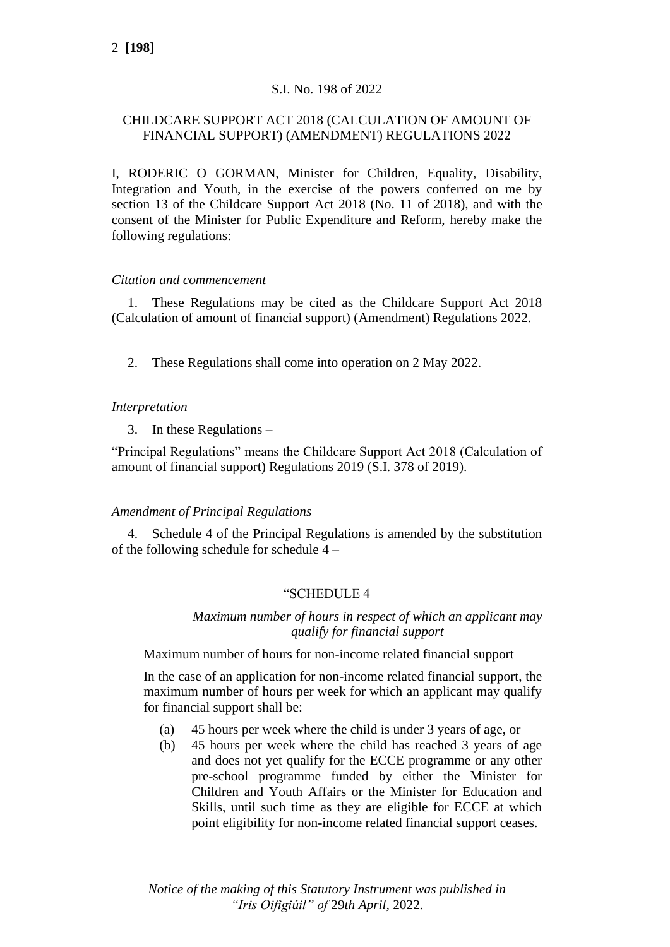# S.I. No. 198 of 2022

# CHILDCARE SUPPORT ACT 2018 (CALCULATION OF AMOUNT OF FINANCIAL SUPPORT) (AMENDMENT) REGULATIONS 2022

I, RODERIC O GORMAN, Minister for Children, Equality, Disability, Integration and Youth, in the exercise of the powers conferred on me by section 13 of the Childcare Support Act 2018 (No. 11 of 2018), and with the consent of the Minister for Public Expenditure and Reform, hereby make the following regulations:

## *Citation and commencement*

1. These Regulations may be cited as the Childcare Support Act 2018 (Calculation of amount of financial support) (Amendment) Regulations 2022.

2. These Regulations shall come into operation on 2 May 2022.

## *Interpretation*

3. In these Regulations –

"Principal Regulations" means the Childcare Support Act 2018 (Calculation of amount of financial support) Regulations 2019 (S.I. 378 of 2019).

#### *Amendment of Principal Regulations*

4. Schedule 4 of the Principal Regulations is amended by the substitution of the following schedule for schedule 4 –

## "SCHEDULE 4

#### *Maximum number of hours in respect of which an applicant may qualify for financial support*

#### Maximum number of hours for non-income related financial support

In the case of an application for non-income related financial support, the maximum number of hours per week for which an applicant may qualify for financial support shall be:

- (a) 45 hours per week where the child is under 3 years of age, or
- (b) 45 hours per week where the child has reached 3 years of age and does not yet qualify for the ECCE programme or any other pre-school programme funded by either the Minister for Children and Youth Affairs or the Minister for Education and Skills, until such time as they are eligible for ECCE at which point eligibility for non-income related financial support ceases.

*Notice of the making of this Statutory Instrument was published in "Iris Oifigiúil" of* 29*th April,* 2022*.*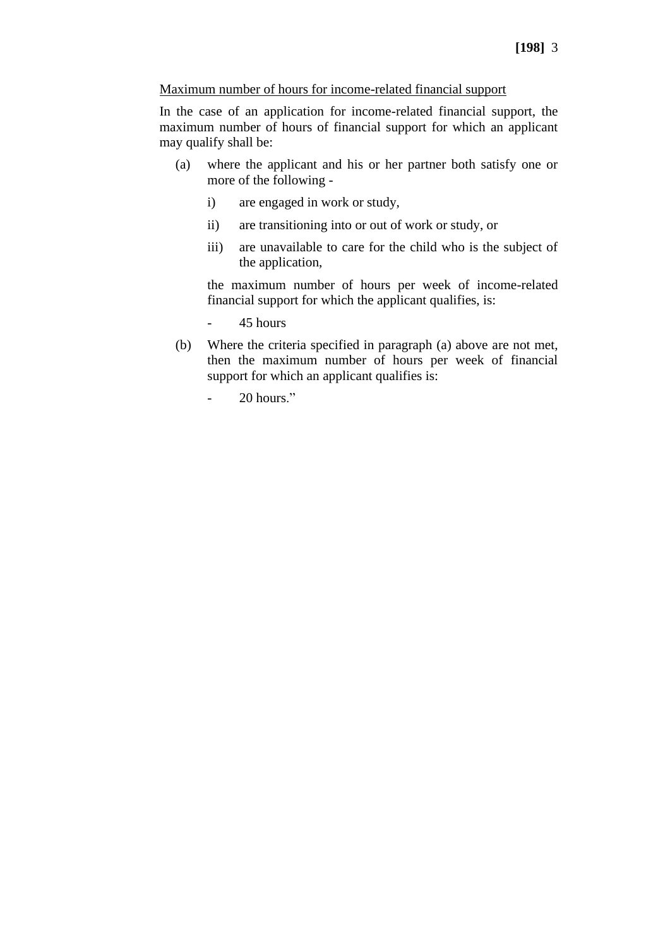## Maximum number of hours for income-related financial support

In the case of an application for income-related financial support, the maximum number of hours of financial support for which an applicant may qualify shall be:

- (a) where the applicant and his or her partner both satisfy one or more of the following
	- i) are engaged in work or study,
	- ii) are transitioning into or out of work or study, or
	- iii) are unavailable to care for the child who is the subject of the application,

the maximum number of hours per week of income-related financial support for which the applicant qualifies, is:

- 45 hours
- (b) Where the criteria specified in paragraph (a) above are not met, then the maximum number of hours per week of financial support for which an applicant qualifies is:
	- 20 hours."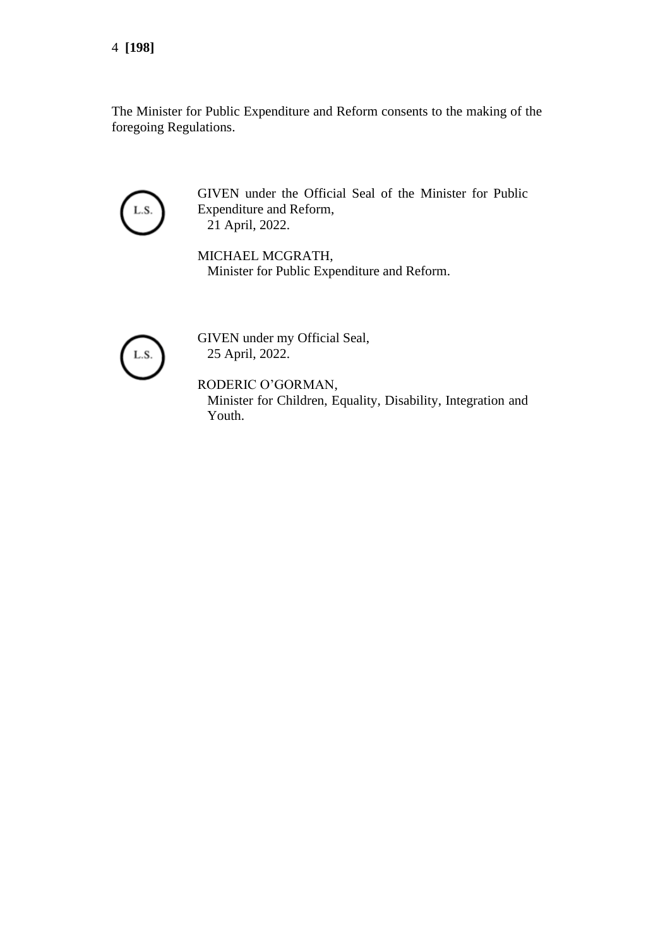The Minister for Public Expenditure and Reform consents to the making of the foregoing Regulations.



GIVEN under the Official Seal of the Minister for Public Expenditure and Reform, 21 April, 2022.

MICHAEL MCGRATH, Minister for Public Expenditure and Reform.



GIVEN under my Official Seal, 25 April, 2022.

RODERIC O'GORMAN, Minister for Children, Equality, Disability, Integration and Youth.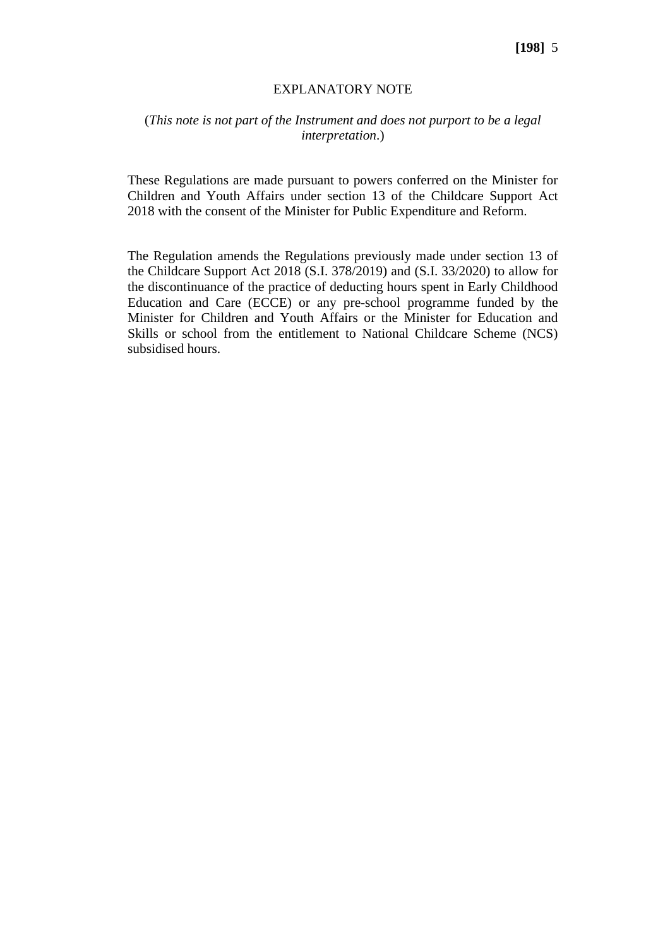#### EXPLANATORY NOTE

# (*This note is not part of the Instrument and does not purport to be a legal interpretation*.)

These Regulations are made pursuant to powers conferred on the Minister for Children and Youth Affairs under section 13 of the Childcare Support Act 2018 with the consent of the Minister for Public Expenditure and Reform.

The Regulation amends the Regulations previously made under section 13 of the Childcare Support Act 2018 (S.I. 378/2019) and (S.I. 33/2020) to allow for the discontinuance of the practice of deducting hours spent in Early Childhood Education and Care (ECCE) or any pre-school programme funded by the Minister for Children and Youth Affairs or the Minister for Education and Skills or school from the entitlement to National Childcare Scheme (NCS) subsidised hours.